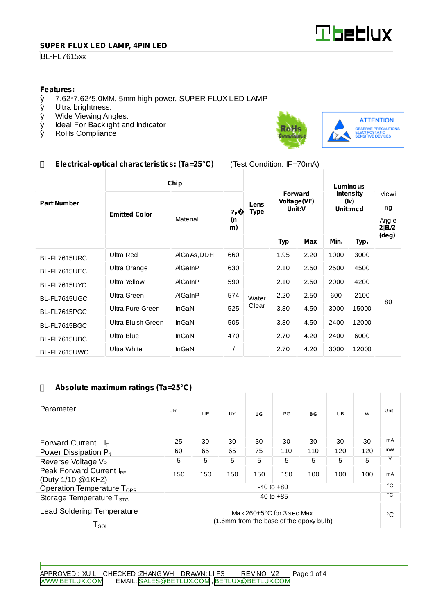

#### **SUPER FLUX LED LAMP, 4PIN LED**

## **BL-FL7615xx**

# **Features:**<br>0 7.62\*7

- $\emptyset$  7.62\*7.62\*5.0MM, 5mm high power, SUPER FLUX LED LAMP  $\emptyset$  Ultra brightness.
- Ø Ultra brightness.<br>Ø Wide Viewing An
- Wide Viewing Angles.
- Ø Ideal For Backlight and Indicator<br>Ø RoHs Compliance
- RoHs Compliance



# **Electrical-optical characteristics: (Ta=25°C)** (Test Condition: IF=70mA)

|                    | Chip                 |              |                            |                     | Luminous                                |            |                                      |       |                                         |
|--------------------|----------------------|--------------|----------------------------|---------------------|-----------------------------------------|------------|--------------------------------------|-------|-----------------------------------------|
| <b>Part Number</b> | <b>Emitted Color</b> | Material     | ? <sub>P</sub><br>(n<br>m) | Lens<br><b>Type</b> | <b>Forward</b><br>Voltage(VF)<br>Unit:V |            | <b>Intensity</b><br>(iv)<br>Unit:mcd |       | Viewi<br>ng<br>Angle<br>$2!\tilde{H}/2$ |
|                    |                      |              |                            |                     | <b>Typ</b>                              | <b>Max</b> | Min.                                 | Typ.  | (deg)                                   |
| BL-FL7615URC       | <b>Ultra Red</b>     | AIGa As, DDH | 660                        |                     | 1.95                                    | 2.20       | 1000                                 | 3000  | 80                                      |
| BL-FL7615UEC       | Ultra Orange         | AlGaInP      | 630                        | Water               | 2.10                                    | 2.50       | 2500                                 | 4500  |                                         |
| BL-FL7615UYC       | <b>Ultra Yellow</b>  | AlGaInP      | 590                        |                     | 2.10                                    | 2.50       | 2000                                 | 4200  |                                         |
| BL-FL7615UGC       | Ultra Green          | AlGaInP      | 574                        |                     | 2.20                                    | 2.50       | 600                                  | 2100  |                                         |
| BL-FL7615PGC       | Ultra Pure Green     | InGaN        | 525                        | Clear               | 3.80                                    | 4.50       | 3000                                 | 15000 |                                         |
| BL-FL7615BGC       | Ultra Bluish Green   | InGaN        | 505                        |                     | 3.80                                    | 4.50       | 2400                                 | 12000 |                                         |
| BL-FL7615UBC       | Ultra Blue           | InGaN        | 470                        |                     | 2.70                                    | 4.20       | 2400                                 | 6000  |                                         |
| BL-FL7615UWC       | Ultra White          | InGaN        |                            |                     | 2.70                                    | 4.20       | 3000                                 | 12000 |                                         |

## **Absolute maximum ratings (Ta=25°C)**

| Parameter                                                                                                                               | <b>UR</b> | UE. | UY  | UG  | <b>PG</b> | BG           | UB. | W   | Unit |
|-----------------------------------------------------------------------------------------------------------------------------------------|-----------|-----|-----|-----|-----------|--------------|-----|-----|------|
| <b>Forward Current</b><br>I⊧                                                                                                            | 25        | 30  | 30  | 30  | 30        | 30           | 30  | 30  | mA   |
| Power Dissipation P <sub>d</sub>                                                                                                        | 60        | 65  | 65  | 75  | 110       | 110          | 120 | 120 | mW   |
| Reverse Voltage $V_R$                                                                                                                   | 5         | 5   | 5   | 5   | 5         | 5            | 5   | 5   | V    |
| Peak Forward Current I <sub>PF</sub><br>(Duty 1/10 @1KHZ)                                                                               | 150       | 150 | 150 | 150 | 150       | 100          | 100 | 100 | mA   |
| $-40$ to $+80$<br>Operation Temperature T <sub>OPR</sub>                                                                                |           |     |     |     |           | °C           |     |     |      |
| $-40$ to $+85$<br>Storage Temperature $T_{\rm src}$                                                                                     |           |     |     |     |           | $^{\circ}$ C |     |     |      |
| <b>Lead Soldering Temperature</b><br>Max.260 $\pm$ 5°C for 3 sec Max.<br>(1.6mm from the base of the epoxy bulb)<br>${\sf T}_{\sf SOL}$ |           |     |     |     |           |              | °C  |     |      |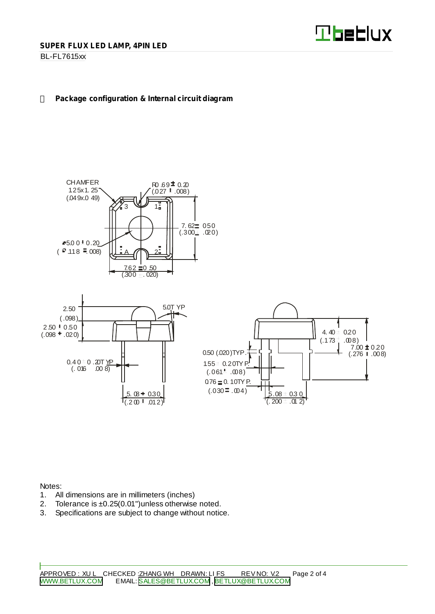

## **BL-FL7615xx**

#### **Package configuration & Internal circuit diagram**





Notes:

- 1. All dimensions are in millimeters (inches)
- 2. Tolerance is ±0.25(0.01")unless otherwise noted.
- 3. Specifications are subject to change without notice.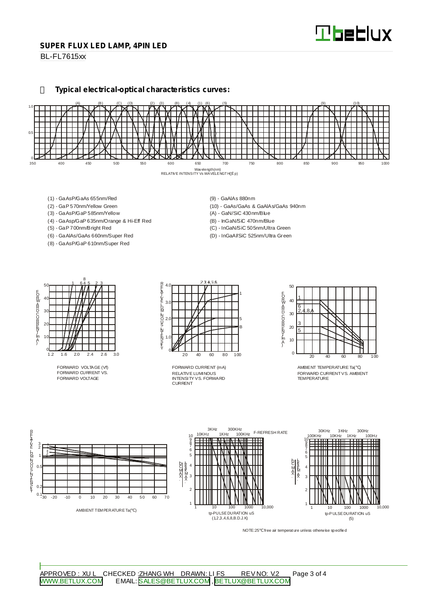#### **SUPER FLUX LED LAMP, 4PIN LED**

**BL-FL7615xx** 

**Typical electrical-optical characteristics curves:**



- (1) GaAsP/GaAs 655nm/Red
- (2) GaP 570nm/Yellow Green
- (3) GaAsP/GaP 585nm/Yellow
- (4) GaAsp/GaP 635nm/Orange & Hi-Eff Red
- (5) GaP 700nm/Bright Red
- (6) GaAlAs/GaAs 660nm/Super Red
- (8) GaAsP/GaP 610nm/Super Red
- (9) GaAlAs 880nm
- (10) GaAs/GaAs & GaAlAs/GaAs 940nm
- (A) GaN/SiC 430nm/Blue
- (B) InGaN/SiC 470nm/Blue
- (C) InGaN/SiC 505nm/Ultra Green
- (D) InGaAl/SiC 525nm/Ultra Green



FORWARD VOLTAGE (Vf) FORWARD CURRENT VS. FORWARD VOLTAGE



RELATIVE LUMINOUS INTENSITY VS. FORWARD CURRENT FORWARD CURRENT (mA)



AMBIENT TEMPERATURE Ta( ) FORWARD CURRENTVS. AMBIENT TEMPERATURE



NOTE:25 free air temperature unless otherwise specified